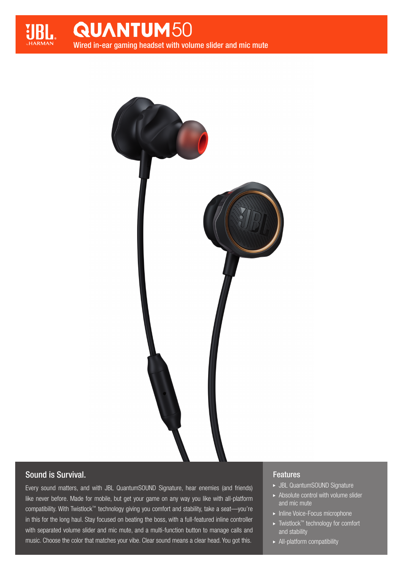



# Sound is Survival.

Every sound matters, and with JBL QuantumSOUND Signature, hear enemies (and friends) like never before. Made for mobile, but get your game on any way you like with all-platform compatibility. With Twistlock™ technology giving you comfort and stability, take a seat—you're in this for the long haul. Stay focused on beating the boss, with a full-featured inline controller with separated volume slider and mic mute, and a multi-function button to manage calls and music. Choose the color that matches your vibe. Clear sound means a clear head. You got this.

## Features

- JBL QuantumSOUND Signature
- $\blacktriangleright$  Absolute control with volume slider and mic mute
- **Inline Voice-Focus microphone**
- ► Twistlock™ technology for comfort and stability
- All-platform compatibility